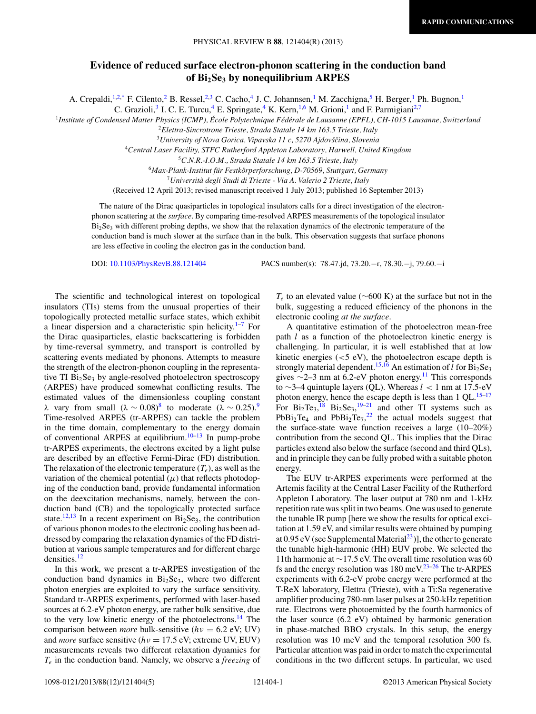## **Evidence of reduced surface electron-phonon scattering in the conduction band of Bi2Se3 by nonequilibrium ARPES**

A. Crepaldi,<sup>1,2[,\\*](#page-4-0)</sup> F. Cilento,<sup>2</sup> B. Ressel,<sup>2,3</sup> C. Cacho,<sup>4</sup> J. C. Johannsen,<sup>1</sup> M. Zacchigna,<sup>5</sup> H. Berger,<sup>1</sup> Ph. Bugnon,<sup>1</sup>

C. Grazioli,<sup>3</sup> I. C. E. Turcu,<sup>4</sup> E. Springate,<sup>4</sup> K. Kern,<sup>1,6</sup> M. Grioni,<sup>1</sup> and F. Parmigiani<sup>2,7</sup>

<sup>1</sup>*Institute of Condensed Matter Physics (ICMP), Ecole Polytechnique F ´ ed´ erale de Lausanne (EPFL), CH-1015 Lausanne, Switzerland ´*

<sup>2</sup>*Elettra-Sincrotrone Trieste, Strada Statale 14 km 163.5 Trieste, Italy*

<sup>3</sup> University of Nova Gorica, Vipavska 11 c, 5270 Ajdovščina, Slovenia

<sup>4</sup>*Central Laser Facility, STFC Rutherford Appleton Laboratory, Harwell, United Kingdom*

<sup>5</sup>*C.N.R.-I.O.M., Strada Statale 14 km 163.5 Trieste, Italy*

<sup>6</sup>*Max-Plank-Institut fur Festk ¨ orperforschung, D-70569, Stuttgart, Germany ¨*

<sup>7</sup>*Universita degli Studi di Trieste - Via A. Valerio 2 Trieste, Italy `*

(Received 12 April 2013; revised manuscript received 1 July 2013; published 16 September 2013)

The nature of the Dirac quasiparticles in topological insulators calls for a direct investigation of the electronphonon scattering at the *surface*. By comparing time-resolved ARPES measurements of the topological insulator  $Bi<sub>2</sub>Se<sub>3</sub>$  with different probing depths, we show that the relaxation dynamics of the electronic temperature of the conduction band is much slower at the surface than in the bulk. This observation suggests that surface phonons are less effective in cooling the electron gas in the conduction band.

DOI: [10.1103/PhysRevB.88.121404](http://dx.doi.org/10.1103/PhysRevB.88.121404) PACS number(s): 78*.*47*.*jd, 73*.*20*.*−r, 78*.*30*.*−j, 79*.*60*.*−i

The scientific and technological interest on topological insulators (TIs) stems from the unusual properties of their topologically protected metallic surface states, which exhibit a linear dispersion and a characteristic spin helicity.<sup>[1–7](#page-4-0)</sup> For the Dirac quasiparticles, elastic backscattering is forbidden by time-reversal symmetry, and transport is controlled by scattering events mediated by phonons. Attempts to measure the strength of the electron-phonon coupling in the representative TI  $Bi<sub>2</sub>Se<sub>3</sub>$  by angle-resolved photoelectron spectroscopy (ARPES) have produced somewhat conflicting results. The estimated values of the dimensionless coupling constant *λ* vary from small  $(λ ∼ 0.08)^8$  $(λ ∼ 0.08)^8$  $(λ ∼ 0.08)^8$  to moderate  $(λ ∼ 0.25)^9$ . Time-resolved ARPES (tr-ARPES) can tackle the problem in the time domain, complementary to the energy domain of conventional ARPES at equilibrium. $10-13$  In pump-probe tr-ARPES experiments, the electrons excited by a light pulse are described by an effective Fermi-Dirac (FD) distribution. The relaxation of the electronic temperature  $(T_e)$ , as well as the variation of the chemical potential  $(\mu)$  that reflects photodoping of the conduction band, provide fundamental information on the deexcitation mechanisms, namely, between the conduction band (CB) and the topologically protected surface state.<sup>[12,13](#page-4-0)</sup> In a recent experiment on  $Bi<sub>2</sub>Se<sub>3</sub>$ , the contribution of various phonon modes to the electronic cooling has been addressed by comparing the relaxation dynamics of the FD distribution at various sample temperatures and for different charge densities[.12](#page-4-0)

In this work, we present a tr-ARPES investigation of the conduction band dynamics in  $Bi<sub>2</sub>Se<sub>3</sub>$ , where two different photon energies are exploited to vary the surface sensitivity. Standard tr-ARPES experiments, performed with laser-based sources at 6.2-eV photon energy, are rather bulk sensitive, due to the very low kinetic energy of the photoelectrons.[14](#page-4-0) The comparison between *more* bulk-sensitive (*hν* = 6.2 eV; UV) and *more* surface sensitive ( $hv = 17.5$  eV; extreme UV, EUV) measurements reveals two different relaxation dynamics for *Te* in the conduction band. Namely, we observe a *freezing* of

*T<sub>e</sub>* to an elevated value (∼600 K) at the surface but not in the bulk, suggesting a reduced efficiency of the phonons in the electronic cooling *at the surface*.

A quantitative estimation of the photoelectron mean-free path *l* as a function of the photoelectron kinetic energy is challenging. In particular, it is well established that at low kinetic energies (*<*5 eV), the photoelectron escape depth is strongly material dependent.<sup>[15,16](#page-4-0)</sup> An estimation of *l* for  $\overline{Bi_2Se_3}$ gives  $\sim$ 2–3 nm at 6.2-eV photon energy.<sup>11</sup> This corresponds to ∼3–4 quintuple layers (QL). Whereas *l <* 1 nm at 17.5-eV photon energy, hence the escape depth is less than  $1 \text{ QL}$ .<sup>[15–17](#page-4-0)</sup> For  $Bi_2Te_3$ ,  $18\text{ Bi}_2Se_3$  $18\text{ Bi}_2Se_3$ ,  $19-21$  and other TI systems such as  $PbBi<sub>2</sub>Te<sub>4</sub>$  and  $PbBi<sub>2</sub>Te<sub>7</sub>,<sup>22</sup>$  $PbBi<sub>2</sub>Te<sub>7</sub>,<sup>22</sup>$  $PbBi<sub>2</sub>Te<sub>7</sub>,<sup>22</sup>$  the actual models suggest that the surface-state wave function receives a large (10–20%) contribution from the second QL. This implies that the Dirac particles extend also below the surface (second and third QLs), and in principle they can be fully probed with a suitable photon energy.

The EUV tr-ARPES experiments were performed at the Artemis facility at the Central Laser Facility of the Rutherford Appleton Laboratory. The laser output at 780 nm and 1-kHz repetition rate was split in two beams. One was used to generate the tunable IR pump [here we show the results for optical excitation at 1.59 eV, and similar results were obtained by pumping at  $0.95 \text{ eV}$  (see Supplemental Material<sup>23</sup>)], the other to generate the tunable high-harmonic (HH) EUV probe. We selected the 11th harmonic at ∼17.5 eV. The overall time resolution was 60 fs and the energy resolution was  $180 \text{ meV}^{23-26}$  The tr-ARPES experiments with 6.2-eV probe energy were performed at the T-ReX laboratory, Elettra (Trieste), with a Ti:Sa regenerative amplifier producing 780-nm laser pulses at 250-kHz repetition rate. Electrons were photoemitted by the fourth harmonics of the laser source (6.2 eV) obtained by harmonic generation in phase-matched BBO crystals. In this setup, the energy resolution was 10 meV and the temporal resolution 300 fs. Particular attention was paid in order to match the experimental conditions in the two different setups. In particular, we used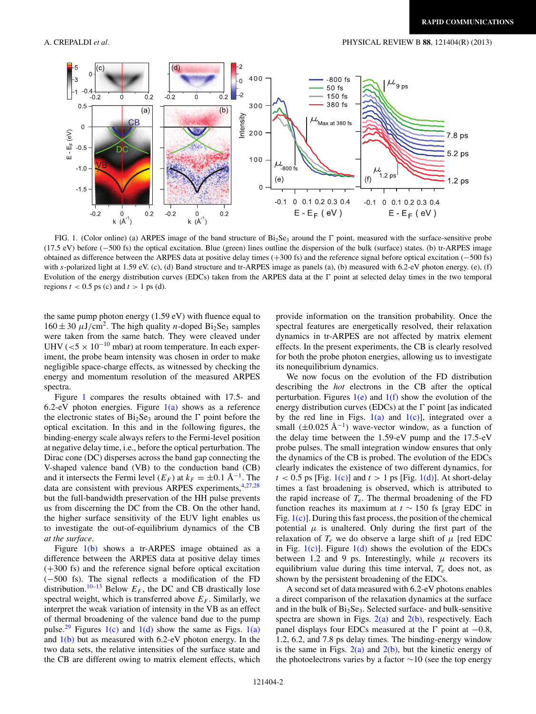<span id="page-1-0"></span>

FIG. 1. (Color online) (a) ARPES image of the band structure of  $Bi_2Se_3$  around the  $\Gamma$  point, measured with the surface-sensitive probe (17.5 eV) before (−500 fs) the optical excitation. Blue (green) lines outline the dispersion of the bulk (surface) states. (b) tr-ARPES image obtained as difference between the ARPES data at positive delay times (+300 fs) and the reference signal before optical excitation (−500 fs) with *s*-polarized light at 1.59 eV. (c), (d) Band structure and tr-ARPES image as panels (a), (b) measured with 6.2-eV photon energy. (e), (f) Evolution of the energy distribution curves (EDCs) taken from the ARPES data at the  $\Gamma$  point at selected delay times in the two temporal regions  $t < 0.5$  ps (c) and  $t > 1$  ps (d).

the same pump photon energy (1.59 eV) with fluence equal to  $160 \pm 30 \mu J/cm^2$ . The high quality *n*-doped Bi<sub>2</sub>Se<sub>3</sub> samples were taken from the same batch. They were cleaved under UHV (*<*<sup>5</sup> <sup>×</sup> <sup>10</sup>−<sup>10</sup> mbar) at room temperature. In each experiment, the probe beam intensity was chosen in order to make negligible space-charge effects, as witnessed by checking the energy and momentum resolution of the measured ARPES spectra.

Figure 1 compares the results obtained with 17*.*5- and 6.2-eV photon energies. Figure  $1(a)$  shows as a reference the electronic states of  $Bi<sub>2</sub>Se<sub>3</sub>$  around the  $\Gamma$  point before the optical excitation. In this and in the following figures, the binding-energy scale always refers to the Fermi-level position at negative delay time, i.e., before the optical perturbation. The Dirac cone (DC) disperses across the band gap connecting the V-shaped valence band (VB) to the conduction band (CB) and it intersects the Fermi level  $(E_F)$  at  $k_F = \pm 0.1 \text{ Å}^{-1}$ . The data are consistent with previous ARPES experiments,  $4,27,28$ but the full-bandwidth preservation of the HH pulse prevents us from discerning the DC from the CB. On the other hand, the higher surface sensitivity of the EUV light enables us to investigate the out-of-equilibrium dynamics of the CB *at the surface*.

Figure 1(b) shows a tr-ARPES image obtained as a difference between the ARPES data at positive delay times (+300 fs) and the reference signal before optical excitation (−500 fs). The signal reflects a modification of the FD distribution.<sup>[10–13](#page-4-0)</sup> Below  $E_F$ , the DC and CB drastically lose spectral weight, which is transferred above  $E_F$ . Similarly, we interpret the weak variation of intensity in the VB as an effect of thermal broadening of the valence band due to the pump pulse.<sup>29</sup> Figures 1(c) and 1(d) show the same as Figs. 1(a) and  $1(b)$  but as measured with 6.2-eV photon energy. In the two data sets, the relative intensities of the surface state and the CB are different owing to matrix element effects, which provide information on the transition probability. Once the spectral features are energetically resolved, their relaxation dynamics in tr-ARPES are not affected by matrix element effects. In the present experiments, the CB is clearly resolved for both the probe photon energies, allowing us to investigate its nonequilibrium dynamics.

We now focus on the evolution of the FD distribution describing the *hot* electrons in the CB after the optical perturbation. Figures  $1(e)$  and  $1(f)$  show the evolution of the energy distribution curves (EDCs) at the  $\Gamma$  point [as indicated by the red line in Figs.  $1(a)$  and  $1(c)$ ], integrated over a small  $(\pm 0.025 \text{ Å}^{-1})$  wave-vector window, as a function of the delay time between the 1*.*59-eV pump and the 17*.*5-eV probe pulses. The small integration window ensures that only the dynamics of the CB is probed. The evolution of the EDCs clearly indicates the existence of two different dynamics, for  $t < 0.5$  ps [Fig. 1(c)] and  $t > 1$  ps [Fig. 1(d)]. At short-delay times a fast broadening is observed, which is attributed to the rapid increase of  $T_e$ . The thermal broadening of the FD function reaches its maximum at *t* ∼ 150 fs [gray EDC in Fig.  $1(c)$ ]. During this fast process, the position of the chemical potential  $\mu$  is unaltered. Only during the first part of the relaxation of  $T_e$  we do observe a large shift of  $\mu$  [red EDC in Fig.  $1(c)$ ]. Figure  $1(d)$  shows the evolution of the EDCs between 1.2 and 9 ps. Interestingly, while  $\mu$  recovers its equilibrium value during this time interval, *Te* does not, as shown by the persistent broadening of the EDCs.

A second set of data measured with 6*.*2-eV photons enables a direct comparison of the relaxation dynamics at the surface and in the bulk of  $Bi<sub>2</sub>Se<sub>3</sub>$ . Selected surface- and bulk-sensitive spectra are shown in Figs.  $2(a)$  and  $2(b)$ , respectively. Each panel displays four EDCs measured at the  $\Gamma$  point at  $-0.8$ , 1.2, 6.2, and 7.8 ps delay times. The binding-energy window is the same in Figs.  $2(a)$  and  $2(b)$ , but the kinetic energy of the photoelectrons varies by a factor ∼10 (see the top energy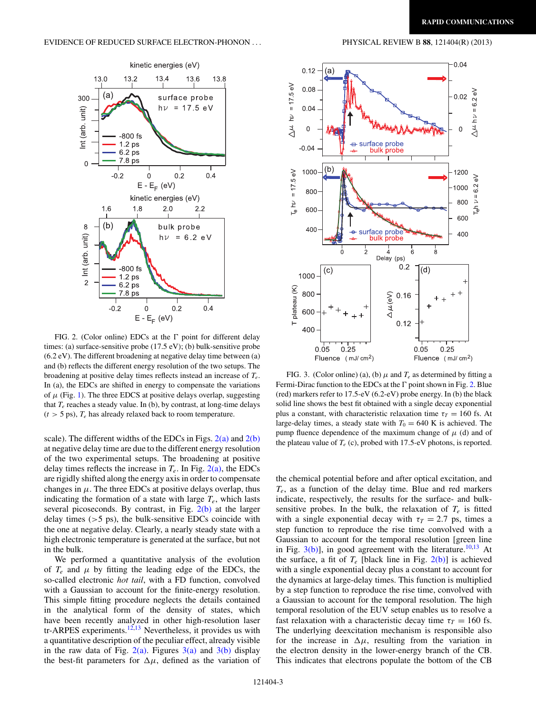<span id="page-2-0"></span>

FIG. 2. (Color online) EDCs at the  $\Gamma$  point for different delay times: (a) surface-sensitive probe (17.5 eV); (b) bulk-sensitive probe (6.2 eV). The different broadening at negative delay time between (a) and (b) reflects the different energy resolution of the two setups. The broadening at positive delay times reflects instead an increase of *Te*. In (a), the EDCs are shifted in energy to compensate the variations of  $\mu$  (Fig. [1\)](#page-1-0). The three EDCS at positive delays overlap, suggesting that  $T_e$  reaches a steady value. In (b), by contrast, at long-time delays  $(t > 5 \text{ ps})$ ,  $T_e$  has already relaxed back to room temperature.

scale). The different widths of the EDCs in Figs.  $2(a)$  and  $2(b)$ at negative delay time are due to the different energy resolution of the two experimental setups. The broadening at positive delay times reflects the increase in  $T_e$ . In Fig.  $2(a)$ , the EDCs are rigidly shifted along the energy axis in order to compensate changes in  $\mu$ . The three EDCs at positive delays overlap, thus indicating the formation of a state with large  $T_e$ , which lasts several picoseconds. By contrast, in Fig.  $2(b)$  at the larger delay times (*>*5 ps), the bulk-sensitive EDCs coincide with the one at negative delay. Clearly, a nearly steady state with a high electronic temperature is generated at the surface, but not in the bulk.

We performed a quantitative analysis of the evolution of  $T_e$  and  $\mu$  by fitting the leading edge of the EDCs, the so-called electronic *hot tail*, with a FD function, convolved with a Gaussian to account for the finite-energy resolution. This simple fitting procedure neglects the details contained in the analytical form of the density of states, which have been recently analyzed in other high-resolution laser tr-ARPES experiments.<sup>12,13</sup> Nevertheless, it provides us with a quantitative description of the peculiar effect, already visible in the raw data of Fig.  $2(a)$ . Figures  $3(a)$  and  $3(b)$  display the best-fit parameters for  $\Delta \mu$ , defined as the variation of



FIG. 3. (Color online) (a), (b)  $\mu$  and  $T_e$  as determined by fitting a Fermi-Dirac function to the EDCs at the  $\Gamma$  point shown in Fig. 2. Blue (red) markers refer to 17.5-eV (6.2-eV) probe energy. In (b) the black solid line shows the best fit obtained with a single decay exponential plus a constant, with characteristic relaxation time  $\tau_T = 160$  fs. At large-delay times, a steady state with  $T_0 = 640$  K is achieved. The pump fluence dependence of the maximum change of  $\mu$  (d) and of the plateau value of  $T_e$  (c), probed with 17.5-eV photons, is reported.

the chemical potential before and after optical excitation, and *Te*, as a function of the delay time. Blue and red markers indicate, respectively, the results for the surface- and bulksensitive probes. In the bulk, the relaxation of  $T_e$  is fitted with a single exponential decay with  $\tau_T = 2.7$  ps, times a step function to reproduce the rise time convolved with a Gaussian to account for the temporal resolution [green line in Fig.  $3(b)$ ], in good agreement with the literature.<sup>10,13</sup> At the surface, a fit of  $T_e$  [black line in Fig. 2(b)] is achieved with a single exponential decay plus a constant to account for the dynamics at large-delay times. This function is multiplied by a step function to reproduce the rise time, convolved with a Gaussian to account for the temporal resolution. The high temporal resolution of the EUV setup enables us to resolve a fast relaxation with a characteristic decay time  $\tau_T = 160$  fs. The underlying deexcitation mechanism is responsible also for the increase in  $\Delta \mu$ , resulting from the variation in the electron density in the lower-energy branch of the CB. This indicates that electrons populate the bottom of the CB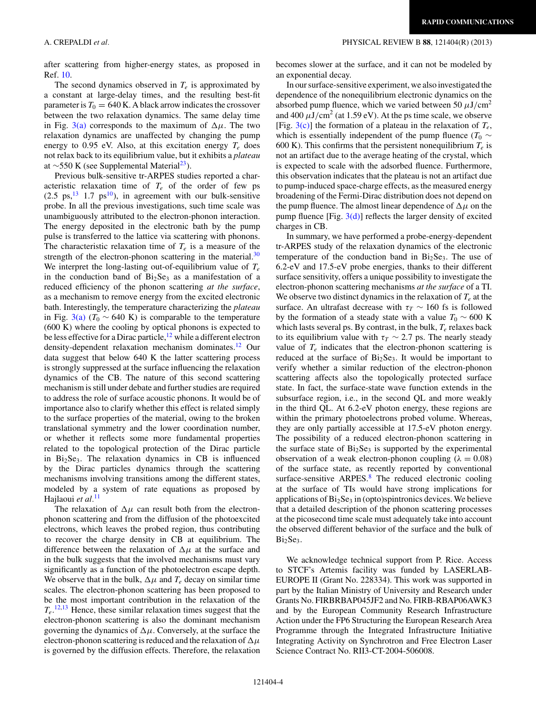after scattering from higher-energy states, as proposed in Ref. [10.](#page-4-0)

The second dynamics observed in *Te* is approximated by a constant at large-delay times, and the resulting best-fit parameter is  $T_0 = 640$  K. A black arrow indicates the crossover between the two relaxation dynamics. The same delay time in Fig. [3\(a\)](#page-2-0) corresponds to the maximum of  $\Delta \mu$ . The two relaxation dynamics are unaffected by changing the pump energy to 0.95 eV. Also, at this excitation energy  $T_e$  does not relax back to its equilibrium value, but it exhibits a *plateau* at ∼550 K (see Supplemental Material<sup>23</sup>).

Previous bulk-sensitive tr-ARPES studies reported a characteristic relaxation time of  $T_e$  of the order of few ps  $(2.5 \text{ ps}, ^{13} 1.7 \text{ ps}^{10})$ , in agreement with our bulk-sensitive probe. In all the previous investigations, such time scale was unambiguously attributed to the electron-phonon interaction. The energy deposited in the electronic bath by the pump pulse is transferred to the lattice via scattering with phonons. The characteristic relaxation time of  $T_e$  is a measure of the strength of the electron-phonon scattering in the material. $30$ We interpret the long-lasting out-of-equilibrium value of  $T_e$ in the conduction band of  $Bi<sub>2</sub>Se<sub>3</sub>$  as a manifestation of a reduced efficiency of the phonon scattering *at the surface*, as a mechanism to remove energy from the excited electronic bath. Interestingly, the temperature characterizing the *plateau* in Fig. [3\(a\)](#page-2-0)  $(T_0 \sim 640 \text{ K})$  is comparable to the temperature (600 K) where the cooling by optical phonons is expected to be less effective for a Dirac particle,  $12$  while a different electron density-dependent relaxation mechanism dominates.<sup>[12](#page-4-0)</sup> Our data suggest that below 640 K the latter scattering process is strongly suppressed at the surface influencing the relaxation dynamics of the CB. The nature of this second scattering mechanism is still under debate and further studies are required to address the role of surface acoustic phonons. It would be of importance also to clarify whether this effect is related simply to the surface properties of the material, owing to the broken translational symmetry and the lower coordination number, or whether it reflects some more fundamental properties related to the topological protection of the Dirac particle in  $Bi<sub>2</sub>Se<sub>3</sub>$ . The relaxation dynamics in CB is influenced by the Dirac particles dynamics through the scattering mechanisms involving transitions among the different states, modeled by a system of rate equations as proposed by Hajlaoui *et al.*[11](#page-4-0)

The relaxation of  $\Delta \mu$  can result both from the electronphonon scattering and from the diffusion of the photoexcited electrons, which leaves the probed region, thus contributing to recover the charge density in CB at equilibrium. The difference between the relaxation of  $\Delta \mu$  at the surface and in the bulk suggests that the involved mechanisms must vary significantly as a function of the photoelectron escape depth. We observe that in the bulk,  $\Delta \mu$  and  $T_e$  decay on similar time scales. The electron-phonon scattering has been proposed to be the most important contribution in the relaxation of the *Te*. [12,13](#page-4-0) Hence, these similar relaxation times suggest that the electron-phonon scattering is also the dominant mechanism governing the dynamics of  $\Delta \mu$ . Conversely, at the surface the electron-phonon scattering is reduced and the relaxation of  $\Delta \mu$ is governed by the diffusion effects. Therefore, the relaxation becomes slower at the surface, and it can not be modeled by an exponential decay.

In our surface-sensitive experiment, we also investigated the dependence of the nonequilibrium electronic dynamics on the absorbed pump fluence, which we varied between 50  $\mu$ J/cm<sup>2</sup> and  $400 \mu J/cm^2$  (at 1.59 eV). At the ps time scale, we observe [Fig.  $3(c)$ ] the formation of a plateau in the relaxation of  $T_e$ , which is essentially independent of the pump fluence ( $T_0 \sim$ 600 K). This confirms that the persistent nonequilibrium  $T_e$  is not an artifact due to the average heating of the crystal, which is expected to scale with the adsorbed fluence. Furthermore, this observation indicates that the plateau is not an artifact due to pump-induced space-charge effects, as the measured energy broadening of the Fermi-Dirac distribution does not depend on the pump fluence. The almost linear dependence of  $\Delta \mu$  on the pump fluence  $[Fig, 3(d)]$  $[Fig, 3(d)]$  reflects the larger density of excited charges in CB.

In summary, we have performed a probe-energy-dependent tr-ARPES study of the relaxation dynamics of the electronic temperature of the conduction band in  $Bi<sub>2</sub>Se<sub>3</sub>$ . The use of 6.2-eV and 17.5-eV probe energies, thanks to their different surface sensitivity, offers a unique possibility to investigate the electron-phonon scattering mechanisms *at the surface* of a TI. We observe two distinct dynamics in the relaxation of  $T_e$  at the surface. An ultrafast decrease with  $\tau_T \sim 160$  fs is followed by the formation of a steady state with a value  $T_0 \sim 600 \text{ K}$ which lasts several ps. By contrast, in the bulk, *Te* relaxes back to its equilibrium value with  $\tau_T \sim 2.7$  ps. The nearly steady value of  $T_e$  indicates that the electron-phonon scattering is reduced at the surface of  $Bi<sub>2</sub>Se<sub>3</sub>$ . It would be important to verify whether a similar reduction of the electron-phonon scattering affects also the topologically protected surface state. In fact, the surface-state wave function extends in the subsurface region, i.e., in the second QL and more weakly in the third QL. At 6.2-eV photon energy, these regions are within the primary photoelectrons probed volume. Whereas, they are only partially accessible at 17.5-eV photon energy. The possibility of a reduced electron-phonon scattering in the surface state of  $Bi<sub>2</sub>Se<sub>3</sub>$  is supported by the experimental observation of a weak electron-phonon coupling ( $\lambda = 0.08$ ) of the surface state, as recently reported by conventional surface-sensitive  $ARPES<sup>8</sup>$  $ARPES<sup>8</sup>$  $ARPES<sup>8</sup>$ . The reduced electronic cooling at the surface of TIs would have strong implications for applications of  $Bi<sub>2</sub>Se<sub>3</sub>$  in (opto)spintronics devices. We believe that a detailed description of the phonon scattering processes at the picosecond time scale must adequately take into account the observed different behavior of the surface and the bulk of  $Bi<sub>2</sub>Se<sub>3</sub>$ .

We acknowledge technical support from P. Rice. Access to STCF's Artemis facility was funded by LASERLAB-EUROPE II (Grant No. 228334). This work was supported in part by the Italian Ministry of University and Research under Grants No. FIRBRBAP045JF2 and No. FIRB-RBAP06AWK3 and by the European Community Research Infrastructure Action under the FP6 Structuring the European Research Area Programme through the Integrated Infrastructure Initiative Integrating Activity on Synchrotron and Free Electron Laser Science Contract No. RII3-CT-2004-506008.